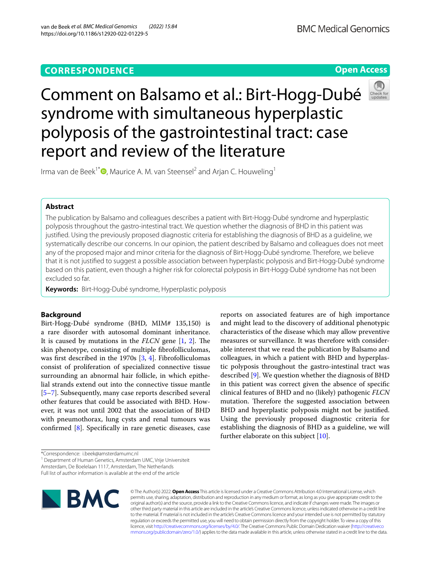## **CORRESPONDENCE**

**Open Access**

# Comment on Balsamo et al.: Birt-Hogg-Dubé syndrome with simultaneous hyperplastic polyposis of the gastrointestinal tract: case report and review of the literature



Irma van de Beek<sup>1[\\*](http://orcid.org/0000-0003-1021-171X)</sup><sup>®</sup>, Maurice A. M. van Steensel<sup>2</sup> and Arjan C. Houweling<sup>1</sup>

## **Abstract**

The publication by Balsamo and colleagues describes a patient with Birt-Hogg-Dubé syndrome and hyperplastic polyposis throughout the gastro-intestinal tract. We question whether the diagnosis of BHD in this patient was justifed. Using the previously proposed diagnostic criteria for establishing the diagnosis of BHD as a guideline, we systematically describe our concerns. In our opinion, the patient described by Balsamo and colleagues does not meet any of the proposed major and minor criteria for the diagnosis of Birt-Hogg-Dubé syndrome. Therefore, we believe that it is not justifed to suggest a possible association between hyperplastic polyposis and Birt-Hogg-Dubé syndrome based on this patient, even though a higher risk for colorectal polyposis in Birt-Hogg-Dubé syndrome has not been excluded so far.

**Keywords:** Birt-Hogg-Dubé syndrome, Hyperplastic polyposis

## **Background**

Birt-Hogg-Dubé syndrome (BHD, MIM# 135,150) is a rare disorder with autosomal dominant inheritance. It is caused by mutations in the *FLCN* gene [\[1](#page-2-0), [2\]](#page-2-1). The skin phenotype, consisting of multiple fbrofolliculomas, was frst described in the 1970s [\[3](#page-2-2), [4](#page-2-3)]. Fibrofolliculomas consist of proliferation of specialized connective tissue surrounding an abnormal hair follicle, in which epithelial strands extend out into the connective tissue mantle [[5–](#page-2-4)[7\]](#page-2-5). Subsequently, many case reports described several other features that could be associated with BHD. However, it was not until 2002 that the association of BHD with pneumothorax, lung cysts and renal tumours was confirmed  $[8]$  $[8]$ . Specifically in rare genetic diseases, case

reports on associated features are of high importance and might lead to the discovery of additional phenotypic characteristics of the disease which may allow preventive measures or surveillance. It was therefore with considerable interest that we read the publication by Balsamo and colleagues, in which a patient with BHD and hyperplastic polyposis throughout the gastro-intestinal tract was described [[9\]](#page-2-7). We question whether the diagnosis of BHD in this patient was correct given the absence of specifc clinical features of BHD and no (likely) pathogenic *FLCN* mutation. Therefore the suggested association between BHD and hyperplastic polyposis might not be justifed. Using the previously proposed diagnostic criteria for establishing the diagnosis of BHD as a guideline, we will further elaborate on this subject [[10\]](#page-2-8).

\*Correspondence: i.beek@amsterdamumc.nl

<sup>1</sup> Department of Human Genetics, Amsterdam UMC, Vrije Universiteit

Amsterdam, De Boelelaan 1117, Amsterdam, The Netherlands

Full list of author information is available at the end of the article



© The Author(s) 2022. **Open Access** This article is licensed under a Creative Commons Attribution 4.0 International License, which permits use, sharing, adaptation, distribution and reproduction in any medium or format, as long as you give appropriate credit to the original author(s) and the source, provide a link to the Creative Commons licence, and indicate if changes were made. The images or other third party material in this article are included in the article's Creative Commons licence, unless indicated otherwise in a credit line to the material. If material is not included in the article's Creative Commons licence and your intended use is not permitted by statutory regulation or exceeds the permitted use, you will need to obtain permission directly from the copyright holder. To view a copy of this licence, visit [http://creativecommons.org/licenses/by/4.0/.](http://creativecommons.org/licenses/by/4.0/) The Creative Commons Public Domain Dedication waiver ([http://creativeco](http://creativecommons.org/publicdomain/zero/1.0/) [mmons.org/publicdomain/zero/1.0/](http://creativecommons.org/publicdomain/zero/1.0/)) applies to the data made available in this article, unless otherwise stated in a credit line to the data.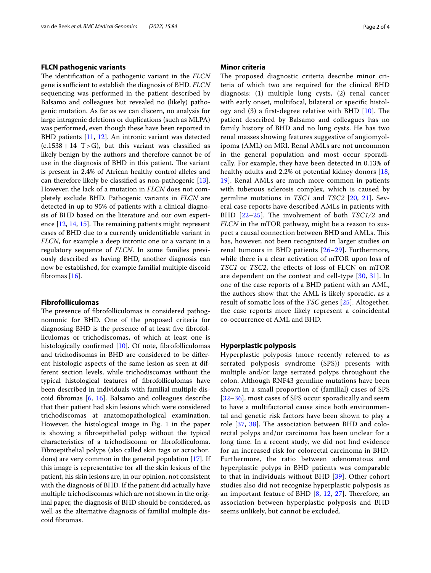#### **FLCN pathogenic variants**

The identification of a pathogenic variant in the *FLCN* gene is sufficient to establish the diagnosis of BHD. *FLCN* sequencing was performed in the patient described by Balsamo and colleagues but revealed no (likely) pathogenic mutation. As far as we can discern, no analysis for large intragenic deletions or duplications (such as MLPA) was performed, even though these have been reported in BHD patients [[11](#page-2-9), [12\]](#page-2-10). An intronic variant was detected  $(c.1538+14 T>G)$ , but this variant was classified as likely benign by the authors and therefore cannot be of use in the diagnosis of BHD in this patient. The variant is present in 2.4% of African healthy control alleles and can therefore likely be classifed as non-pathogenic [\[13](#page-2-11)]. However, the lack of a mutation in *FLCN* does not completely exclude BHD. Pathogenic variants in *FLCN* are detected in up to 95% of patients with a clinical diagnosis of BHD based on the literature and our own experience  $[12, 14, 15]$  $[12, 14, 15]$  $[12, 14, 15]$  $[12, 14, 15]$  $[12, 14, 15]$ . The remaining patients might represent cases of BHD due to a currently unidentifable variant in *FLCN*, for example a deep intronic one or a variant in a regulatory sequence of *FLCN*. In some families previously described as having BHD, another diagnosis can now be established, for example familial multiple discoid fbromas [\[16](#page-2-14)].

#### **Fibrofolliculomas**

The presence of fibrofolliculomas is considered pathognomonic for BHD. One of the proposed criteria for diagnosing BHD is the presence of at least fve fbrofolliculomas or trichodiscomas, of which at least one is histologically confirmed [[10](#page-2-8)]. Of note, fibrofolliculomas and trichodisomas in BHD are considered to be diferent histologic aspects of the same lesion as seen at different section levels, while trichodiscomas without the typical histological features of fbrofolliculomas have been described in individuals with familial multiple discoid fbromas [\[6](#page-2-15), [16](#page-2-14)]. Balsamo and colleagues describe that their patient had skin lesions which were considered trichodiscomas at anatomopathological examination. However, the histological image in Fig. 1 in the paper is showing a fbroepithelial polyp without the typical characteristics of a trichodiscoma or fbrofolliculoma. Fibroepithelial polyps (also called skin tags or acrochordons) are very common in the general population [\[17](#page-2-16)]. If this image is representative for all the skin lesions of the patient, his skin lesions are, in our opinion, not consistent with the diagnosis of BHD. If the patient did actually have multiple trichodiscomas which are not shown in the original paper, the diagnosis of BHD should be considered, as well as the alternative diagnosis of familial multiple discoid fbromas.

#### **Minor criteria**

The proposed diagnostic criteria describe minor criteria of which two are required for the clinical BHD diagnosis: (1) multiple lung cysts, (2) renal cancer with early onset, multifocal, bilateral or specifc histology and  $(3)$  a first-degree relative with BHD  $[10]$  $[10]$ . The patient described by Balsamo and colleagues has no family history of BHD and no lung cysts. He has two renal masses showing features suggestive of angiomyolipoma (AML) on MRI. Renal AMLs are not uncommon in the general population and most occur sporadically. For example, they have been detected in 0.13% of healthy adults and 2.2% of potential kidney donors [\[18](#page-2-17), [19\]](#page-2-18). Renal AMLs are much more common in patients with tuberous sclerosis complex, which is caused by germline mutations in *TSC1* and *TSC2* [[20,](#page-2-19) [21](#page-2-20)]. Several case reports have described AMLs in patients with BHD [[22](#page-3-0)-25]. The involvement of both *TSC1/2* and *FLCN* in the mTOR pathway, might be a reason to suspect a causal connection between BHD and AMLs. This has, however, not been recognized in larger studies on renal tumours in BHD patients [[26–](#page-3-2)[29\]](#page-3-3). Furthermore, while there is a clear activation of mTOR upon loss of *TSC1* or *TSC2*, the efects of loss of FLCN on mTOR are dependent on the context and cell-type [\[30](#page-3-4), [31\]](#page-3-5). In one of the case reports of a BHD patient with an AML, the authors show that the AML is likely sporadic, as a result of somatic loss of the *TSC* genes [\[25\]](#page-3-1). Altogether, the case reports more likely represent a coincidental co-occurrence of AML and BHD.

#### **Hyperplastic polyposis**

Hyperplastic polyposis (more recently referred to as serrated polyposis syndrome (SPS)) presents with multiple and/or large serrated polyps throughout the colon. Although RNF43 germline mutations have been shown in a small proportion of (familial) cases of SPS [[32](#page-3-6)[–36](#page-3-7)], most cases of SPS occur sporadically and seem to have a multifactorial cause since both environmental and genetic risk factors have been shown to play a role  $[37, 38]$  $[37, 38]$  $[37, 38]$  $[37, 38]$ . The association between BHD and colorectal polyps and/or carcinoma has been unclear for a long time. In a recent study, we did not fnd evidence for an increased risk for colorectal carcinoma in BHD. Furthermore, the ratio between adenomatous and hyperplastic polyps in BHD patients was comparable to that in individuals without BHD [[39\]](#page-3-10). Other cohort studies also did not recognize hyperplastic polyposis as an important feature of BHD  $[8, 12, 27]$  $[8, 12, 27]$  $[8, 12, 27]$  $[8, 12, 27]$  $[8, 12, 27]$  $[8, 12, 27]$ . Therefore, an association between hyperplastic polyposis and BHD seems unlikely, but cannot be excluded.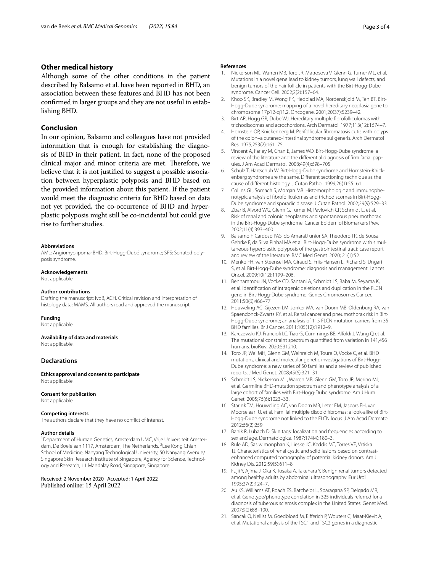#### **Other medical history**

Although some of the other conditions in the patient described by Balsamo et al. have been reported in BHD, an association between these features and BHD has not been confrmed in larger groups and they are not useful in establishing BHD.

#### **Conclusion**

In our opinion, Balsamo and colleagues have not provided information that is enough for establishing the diagnosis of BHD in their patient. In fact, none of the proposed clinical major and minor criteria are met. Therefore, we believe that it is not justifed to suggest a possible association between hyperplastic polyposis and BHD based on the provided information about this patient. If the patient would meet the diagnostic criteria for BHD based on data not yet provided, the co-occurrence of BHD and hyperplastic polyposis might still be co-incidental but could give rise to further studies.

#### **Abbreviations**

AML: Angiomyolipoma; BHD: Birt-Hogg-Dubé syndrome; SPS: Serrated polyposis syndrome.

#### **Acknowledgements**

Not applicable.

#### **Author contributions**

Drafting the manuscript: IvdB, ACH. Critical revision and interpretation of histology data: MAMS. All authors read and approved the manuscript.

#### **Funding**

Not applicable.

#### **Availability of data and materials**

Not applicable.

#### **Declarations**

**Ethics approval and consent to participate** Not applicable.

#### **Consent for publication**

Not applicable.

#### **Competing interests**

The authors declare that they have no confict of interest.

#### **Author details**

<sup>1</sup> Department of Human Genetics, Amsterdam UMC, Vrije Universiteit Amsterdam, De Boelelaan 1117, Amsterdam, The Netherlands. <sup>2</sup> Lee Kong Chian School of Medicine, Nanyang Technological University, 50 Nanyang Avenue/ Singapore Skin Research Institute of Singapore, Agency for Science, Technology and Research, 11 Mandalay Road, Singapore, Singapore.

Received: 2 November 2020 Accepted: 1 April 2022 Published online: 15 April 2022

#### **References**

- <span id="page-2-0"></span>1. Nickerson ML, Warren MB, Toro JR, Matrosova V, Glenn G, Turner ML, et al. Mutations in a novel gene lead to kidney tumors, lung wall defects, and benign tumors of the hair follicle in patients with the Birt-Hogg-Dube syndrome. Cancer Cell. 2002;2(2):157–64.
- <span id="page-2-1"></span>2. Khoo SK, Bradley M, Wong FK, Hedblad MA, Nordenskjold M, Teh BT. Birt-Hogg-Dube syndrome: mapping of a novel hereditary neoplasia gene to chromosome 17p12-q11.2. Oncogene. 2001;20(37):5239–42.
- <span id="page-2-2"></span>3. Birt AR, Hogg GR, Dube WJ. Hereditary multiple fbrofolliculomas with trichodiscomas and acrochordons. Arch Dermatol. 1977;113(12):1674–7.
- <span id="page-2-3"></span>4. Hornstein OP, Knickenberg M. Perifollicular fbromatosis cutis with polyps of the colon–a cutaneo-intestinal syndrome sui generis. Arch Dermatol Res. 1975;253(2):161–75.
- <span id="page-2-4"></span>5. Vincent A, Farley M, Chan E, James WD. Birt-Hogg-Dube syndrome: a review of the literature and the diferential diagnosis of frm facial papules. J Am Acad Dermatol. 2003;49(4):698–705.
- <span id="page-2-15"></span>6. Schulz T, Hartschuh W. Birt-Hogg-Dube syndrome and Hornstein-Knickenberg syndrome are the same. Diferent sectioning technique as the cause of diferent histology. J Cutan Pathol. 1999;26(1):55–61.
- <span id="page-2-5"></span>7. Collins GL, Somach S, Morgan MB. Histomorphologic and immunophenotypic analysis of fbrofolliculomas and trichodiscomas in Birt-Hogg-Dube syndrome and sporadic disease. J Cutan Pathol. 2002;29(9):529–33.
- <span id="page-2-6"></span>Zbar B, Alvord WG, Glenn G, Turner M, Pavlovich CP, Schmidt L, et al. Risk of renal and colonic neoplasms and spontaneous pneumothorax in the Birt-Hogg-Dube syndrome. Cancer Epidemiol Biomarkers Prev. 2002;11(4):393–400.
- <span id="page-2-7"></span>9. Balsamo F, Cardoso PAS, do AmaralJ unior SA, Theodoro TR, de Sousa Gehrke F, da Silva Pinhal MA et al. Birt-Hogg-Dube syndrome with simultaneous hyperplastic polyposis of the gastrointestinal tract: case report and review of the literature. BMC Med Genet. 2020; 21(1):52.
- <span id="page-2-8"></span>10. Menko FH, van Steensel MA, Giraud S, Friis-Hansen L, Richard S, Ungari S, et al. Birt-Hogg-Dube syndrome: diagnosis and management. Lancet Oncol. 2009;10(12):1199–206.
- <span id="page-2-9"></span>11. Benhammou JN, Vocke CD, Santani A, Schmidt LS, Baba M, Seyama K, et al. Identifcation of intragenic deletions and duplication in the FLCN gene in Birt-Hogg-Dube syndrome. Genes Chromosomes Cancer. 2011;50(6):466–77.
- <span id="page-2-10"></span>12. Houweling AC, Gijezen LM, Jonker MA, van Doorn MB, Oldenburg RA, van Spaendonck-Zwarts KY, et al. Renal cancer and pneumothorax risk in Birt-Hogg-Dube syndrome; an analysis of 115 FLCN mutation carriers from 35 BHD families. Br J Cancer. 2011;105(12):1912–9.
- <span id="page-2-11"></span>13. Karczewski KJ, Francioli LC, Tiao G, Cummings BB, Alföldi J, Wang Q et al. The mutational constraint spectrum quantifed from variation in 141,456 humans. bioRxiv. 2020:531210.
- <span id="page-2-12"></span>14. Toro JR, Wei MH, Glenn GM, Weinreich M, Toure O, Vocke C, et al. BHD mutations, clinical and molecular genetic investigations of Birt-Hogg-Dube syndrome: a new series of 50 families and a review of published reports. J Med Genet. 2008;45(6):321–31.
- <span id="page-2-13"></span>15. Schmidt LS, Nickerson ML, Warren MB, Glenn GM, Toro JR, Merino MJ, et al. Germline BHD-mutation spectrum and phenotype analysis of a large cohort of families with Birt-Hogg-Dube syndrome. Am J Hum Genet. 2005;76(6):1023–33.
- <span id="page-2-14"></span>16. Starink TM, Houweling AC, van Doorn MB, Leter EM, Jaspars EH, van Moorselaar RJ, et al. Familial multiple discoid fbromas: a look-alike of Birt-Hogg-Dube syndrome not linked to the FLCN locus. J Am Acad Dermatol. 2012;66(2):259.
- <span id="page-2-16"></span>17. Banik R, Lubach D. Skin tags: localization and frequencies according to sex and age. Dermatologica. 1987;174(4):180–3.
- <span id="page-2-17"></span>18. Rule AD, Sasiwimonphan K, Lieske JC, Keddis MT, Torres VE, Vrtiska TJ. Characteristics of renal cystic and solid lesions based on contrastenhanced computed tomography of potential kidney donors. Am J Kidney Dis. 2012;59(5):611–8.
- <span id="page-2-18"></span>19. Fujii Y, Ajima J, Oka K, Tosaka A, Takehara Y. Benign renal tumors detected among healthy adults by abdominal ultrasonography. Eur Urol. 1995;27(2):124–7.
- <span id="page-2-19"></span>20. Au KS, Williams AT, Roach ES, Batchelor L, Sparagana SP, Delgado MR, et al. Genotype/phenotype correlation in 325 individuals referred for a diagnosis of tuberous sclerosis complex in the United States. Genet Med. 2007;9(2):88–100.
- <span id="page-2-20"></span>21. Sancak O, Nellist M, Goedbloed M, Elferich P, Wouters C, Maat-Kievit A, et al. Mutational analysis of the TSC1 and TSC2 genes in a diagnostic